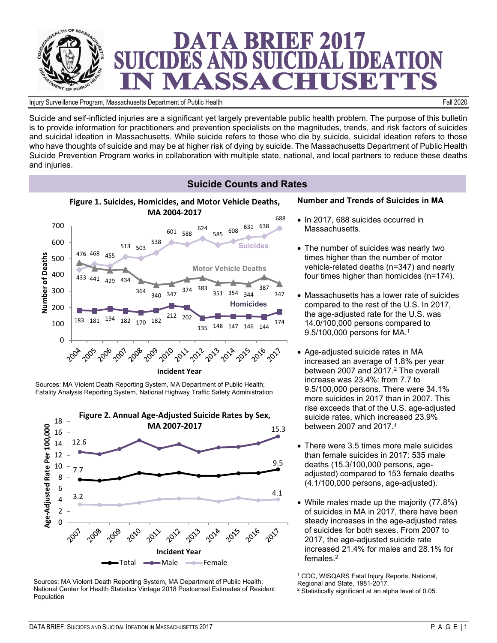

Injury Surveillance Program, Massachusetts Department of Public Health Fall 2020

Suicide and self-inflicted injuries are a significant yet largely preventable public health problem. The purpose of this bulletin is to provide information for practitioners and prevention specialists on the magnitudes, trends, and risk factors of suicides and suicidal ideation in Massachusetts. While suicide refers to those who die by suicide, suicidal ideation refers to those who have thoughts of suicide and may be at higher risk of dying by suicide. The Massachusetts Department of Public Health Suicide Prevention Program works in collaboration with multiple state, national, and local partners to reduce these deaths and injuries.



Sources: MA Violent Death Reporting System, MA Department of Public Health; Fatality Analysis Reporting System, National Highway Traffic Safety Administration



Sources: MA Violent Death Reporting System, MA Department of Public Health; National Center for Health Statistics Vintage 2018 Postcensal Estimates of Resident Population

#### **Number and Trends of Suicides in MA**

- 
- The number of suicides was nearly two times higher than the number of motor vehicle-related deaths (n=347) and nearly four times higher than homicides (n=174).
- Massachusetts has a lower rate of suicides compared to the rest of the U.S. In 2017, the age-adjusted rate for the U.S. was 14.0/100,000 persons compared to
- Age-adjusted suicide rates in MA increased an average of 1.8% per year between 2007 and 2017.<sup>2</sup> The overall increase was 23.4%: from 7.7 to 9.5/100,000 persons. There were 34.1% more suicides in 2017 than in 2007. This rise exceeds that of the U.S. age-adjusted suicide rates, which increased 23.9% between 2007 and 2017.<sup>1</sup>
- There were 3.5 times more male suicides than female suicides in 2017: 535 male deaths (15.3/100,000 persons, ageadjusted) compared to 153 female deaths (4.1/100,000 persons, age-adjusted).
- While males made up the majority (77.8%) of suicides in MA in 2017, there have been steady increases in the age-adjusted rates of suicides for both sexes. From 2007 to 2017, the age-adjusted suicide rate increased 21.4% for males and 28.1% for females.<sup>2</sup>

1 CDC, WISQARS Fatal Injury Reports, National, Regional and State, 1981-2017.

<sup>2</sup> Statistically significant at an alpha level of 0.05.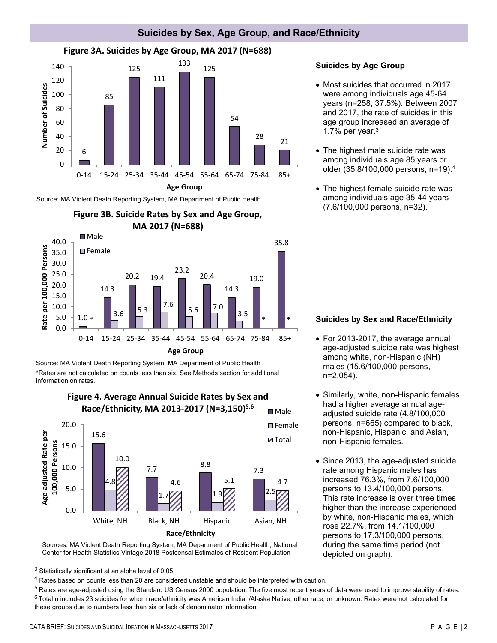

## **Suicides by Sex, Age Group, and Race/Ethnicity**

Source: MA Violent Death Reporting System, MA Department of Public Health





Source: MA Violent Death Reporting System, MA Department of Public Health \*Rates are not calculated on counts less than six. See Methods section for additional information on rates.



#### Sources: MA Violent Death Reporting System, MA Department of Public Health; National Center for Health Statistics Vintage 2018 Postcensal Estimates of Resident Population

 $3$  Statistically significant at an alpha level of 0.05.

<sup>4</sup> Rates based on counts less than 20 are considered unstable and should be interpreted with caution.

<sup>5</sup> Rates are age-adjusted using the Standard US Census 2000 population. The five most recent years of data were used to improve stability of rates.  $6$  Total n includes 23 suicides for whom race/ethnicity was American Indian/Alaska Native, other race, or unknown. Rates were not calculated for these groups due to numbers less than six or lack of denominator information.

## **Suicides by Age Group**

- Most suicides that occurred in 2017 were among individuals age 45-64 years (n=258, 37.5%). Between 2007 and 2017, the rate of suicides in this age group increased an average of 1.7% per year. $3$
- The highest male suicide rate was among individuals age 85 years or older (35.8/100,000 persons, n=19).<sup>4</sup>
- The highest female suicide rate was among individuals age 35-44 years (7.6/100,000 persons, n=32).

## **Suicides by Sex and Race/Ethnicity**

- For 2013-2017, the average annual age-adjusted suicide rate was highest among white, non-Hispanic (NH) males (15.6/100,000 persons, n=2,054).
- Similarly, white, non-Hispanic females had a higher average annual ageadjusted suicide rate (4.8/100,000 persons, n=665) compared to black, non-Hispanic, Hispanic, and Asian, non-Hispanic females.
- Since 2013, the age-adjusted suicide rate among Hispanic males has increased 76.3%, from 7.6/100,000 persons to 13.4/100,000 persons. This rate increase is over three times higher than the increase experienced by white, non-Hispanic males, which rose 22.7%, from 14.1/100,000 persons to 17.3/100,000 persons, during the same time period (not depicted on graph).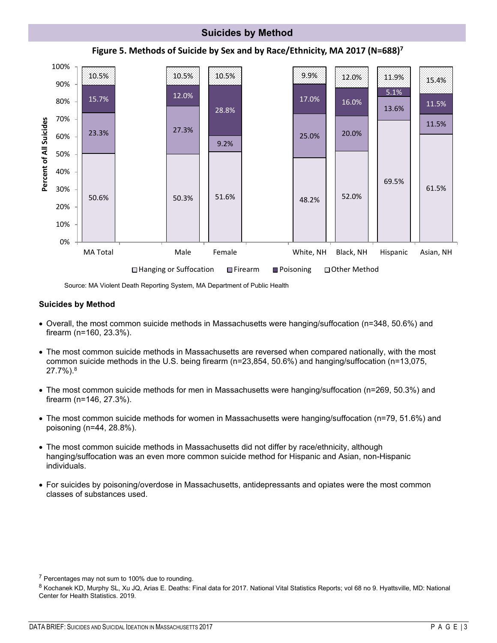

Source: MA Violent Death Reporting System, MA Department of Public Health

#### **Suicides by Method**

- Overall, the most common suicide methods in Massachusetts were hanging/suffocation (n=348, 50.6%) and firearm (n=160, 23.3%).
- The most common suicide methods in Massachusetts are reversed when compared nationally, with the most common suicide methods in the U.S. being firearm (n=23,854, 50.6%) and hanging/suffocation (n=13,075, 27.7%).<sup>8</sup>
- The most common suicide methods for men in Massachusetts were hanging/suffocation (n=269, 50.3%) and firearm (n=146, 27.3%).
- The most common suicide methods for women in Massachusetts were hanging/suffocation (n=79, 51.6%) and poisoning (n=44, 28.8%).
- The most common suicide methods in Massachusetts did not differ by race/ethnicity, although hanging/suffocation was an even more common suicide method for Hispanic and Asian, non-Hispanic individuals.
- For suicides by poisoning/overdose in Massachusetts, antidepressants and opiates were the most common classes of substances used.

<sup>7</sup> Percentages may not sum to 100% due to rounding.

8 Kochanek KD, Murphy SL, Xu JQ, Arias E. Deaths: Final data for 2017. National Vital Statistics Reports; vol 68 no 9. Hyattsville, MD: National Center for Health Statistics. 2019.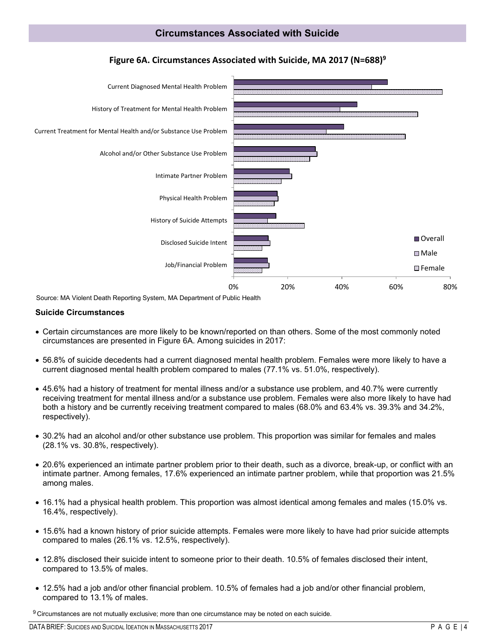

## **Figure 6A. Circumstances Associated with Suicide, MA 2017 (N=688)<sup>9</sup>**

Source: MA Violent Death Reporting System, MA Department of Public Health

#### **Suicide Circumstances**

- Certain circumstances are more likely to be known/reported on than others. Some of the most commonly noted circumstances are presented in Figure 6A. Among suicides in 2017:
- 56.8% of suicide decedents had a current diagnosed mental health problem. Females were more likely to have a current diagnosed mental health problem compared to males (77.1% vs. 51.0%, respectively).
- 45.6% had a history of treatment for mental illness and/or a substance use problem, and 40.7% were currently receiving treatment for mental illness and/or a substance use problem. Females were also more likely to have had both a history and be currently receiving treatment compared to males (68.0% and 63.4% vs. 39.3% and 34.2%, respectively).
- 30.2% had an alcohol and/or other substance use problem. This proportion was similar for females and males (28.1% vs. 30.8%, respectively).
- 20.6% experienced an intimate partner problem prior to their death, such as a divorce, break-up, or conflict with an intimate partner. Among females, 17.6% experienced an intimate partner problem, while that proportion was 21.5% among males.
- 16.1% had a physical health problem. This proportion was almost identical among females and males (15.0% vs. 16.4%, respectively).
- 15.6% had a known history of prior suicide attempts. Females were more likely to have had prior suicide attempts compared to males (26.1% vs. 12.5%, respectively).
- 12.8% disclosed their suicide intent to someone prior to their death. 10.5% of females disclosed their intent, compared to 13.5% of males.
- 12.5% had a job and/or other financial problem. 10.5% of females had a job and/or other financial problem, compared to 13.1% of males.

 $9$  Circumstances are not mutually exclusive; more than one circumstance may be noted on each suicide.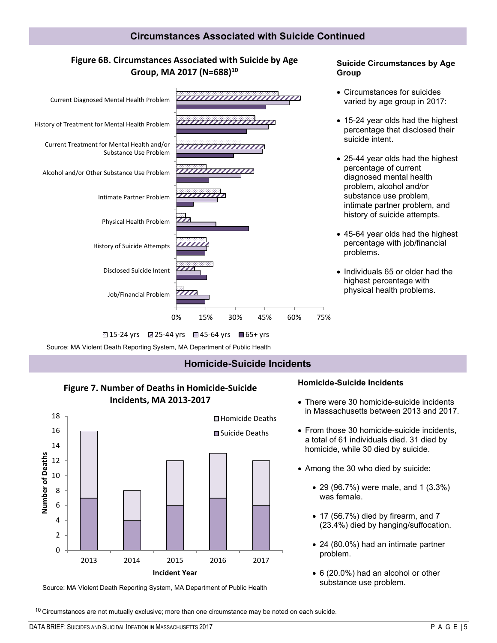## **Figure 6B. Circumstances Associated with Suicide by Age Group, MA 2017 (N=688)<sup>10</sup>**



#### **2315-24 yrs 25-44 yrs 245-64 yrs ■ 65+ yrs**

Source: MA Violent Death Reporting System, MA Department of Public Health

## **Homicide-Suicide Incidents**

## **Figure 7. Number of Deaths in Homicide-Suicide Incidents, MA 2013-2017**



#### **Homicide-Suicide Incidents**

• There were 30 homicide-suicide incidents in Massachusetts between 2013 and 2017.

**Suicide Circumstances by Age** 

**Group** 

- From those 30 homicide-suicide incidents, a total of 61 individuals died. 31 died by homicide, while 30 died by suicide.
- Among the 30 who died by suicide:
	- 29 (96.7%) were male, and 1 (3.3%) was female.
	- 17 (56.7%) died by firearm, and 7 (23.4%) died by hanging/suffocation.
	- 24 (80.0%) had an intimate partner problem.
	- 6 (20.0%) had an alcohol or other substance use problem.

Source: MA Violent Death Reporting System, MA Department of Public Health

 $10$  Circumstances are not mutually exclusive; more than one circumstance may be noted on each suicide.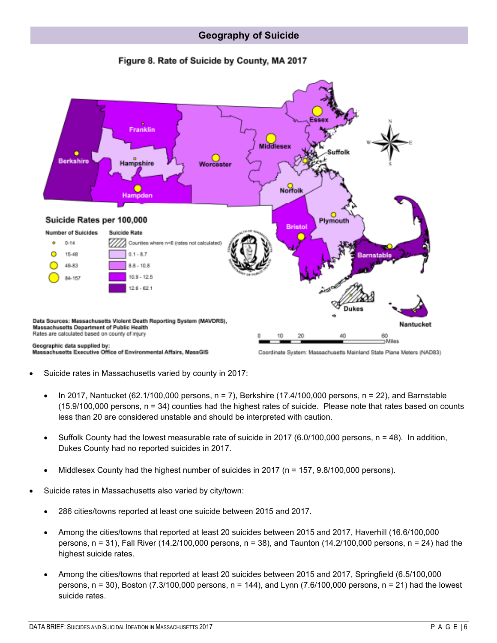



- Suicide rates in Massachusetts varied by county in 2017:
	- In 2017, Nantucket (62.1/100,000 persons,  $n = 7$ ), Berkshire (17.4/100,000 persons,  $n = 22$ ), and Barnstable (15.9/100,000 persons, n = 34) counties had the highest rates of suicide. Please note that rates based on counts less than 20 are considered unstable and should be interpreted with caution.
	- Suffolk County had the lowest measurable rate of suicide in 2017 (6.0/100,000 persons, n = 48). In addition, Dukes County had no reported suicides in 2017.
	- Middlesex County had the highest number of suicides in 2017 (n = 157, 9.8/100,000 persons).
- Suicide rates in Massachusetts also varied by city/town:
	- 286 cities/towns reported at least one suicide between 2015 and 2017.
	- Among the cities/towns that reported at least 20 suicides between 2015 and 2017, Haverhill (16.6/100,000 persons, n = 31), Fall River (14.2/100,000 persons, n = 38), and Taunton (14.2/100,000 persons, n = 24) had the highest suicide rates.
	- Among the cities/towns that reported at least 20 suicides between 2015 and 2017, Springfield (6.5/100,000 persons, n = 30), Boston (7.3/100,000 persons, n = 144), and Lynn (7.6/100,000 persons, n = 21) had the lowest suicide rates.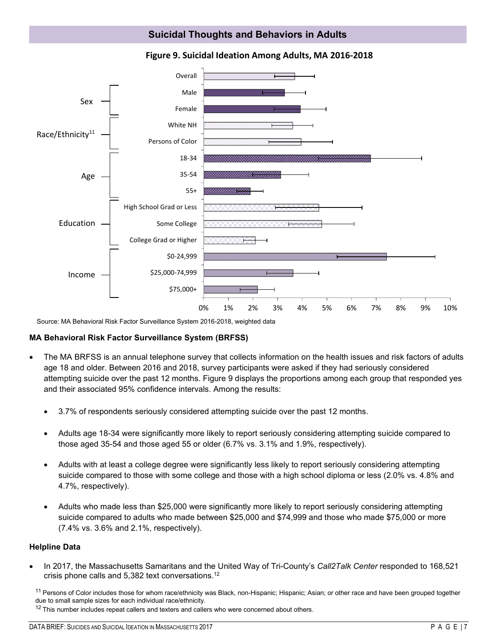## **Suicidal Thoughts and Behaviors in Adults**



#### **Figure 9. Suicidal Ideation Among Adults, MA 2016-2018**

Source: MA Behavioral Risk Factor Surveillance System 2016-2018, weighted data

## **MA Behavioral Risk Factor Surveillance System (BRFSS)**

- The MA BRFSS is an annual telephone survey that collects information on the health issues and risk factors of adults age 18 and older. Between 2016 and 2018, survey participants were asked if they had seriously considered attempting suicide over the past 12 months. Figure 9 displays the proportions among each group that responded yes and their associated 95% confidence intervals. Among the results:
	- 3.7% of respondents seriously considered attempting suicide over the past 12 months.
	- Adults age 18-34 were significantly more likely to report seriously considering attempting suicide compared to those aged 35-54 and those aged 55 or older (6.7% vs. 3.1% and 1.9%, respectively).
	- Adults with at least a college degree were significantly less likely to report seriously considering attempting suicide compared to those with some college and those with a high school diploma or less (2.0% vs. 4.8% and 4.7%, respectively).
	- Adults who made less than \$25,000 were significantly more likely to report seriously considering attempting suicide compared to adults who made between \$25,000 and \$74,999 and those who made \$75,000 or more (7.4% vs. 3.6% and 2.1%, respectively).

#### **Helpline Data**

• In 2017, the Massachusetts Samaritans and the United Way of Tri-County's *Call2Talk Center* responded to 168,521 crisis phone calls and 5,382 text conversations.<sup>12</sup>

<sup>11</sup> Persons of Color includes those for whom race/ethnicity was Black, non-Hispanic; Hispanic; Asian; or other race and have been grouped together due to small sample sizes for each individual race/ethnicity.

 $12$  This number includes repeat callers and texters and callers who were concerned about others.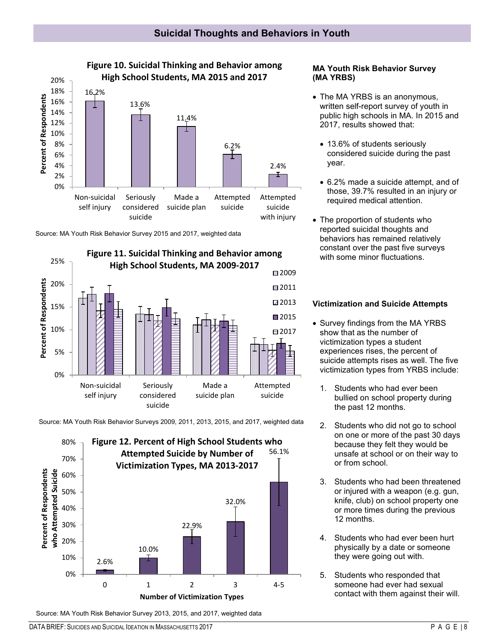

Source: MA Youth Risk Behavior Survey 2015 and 2017, weighted data



Source: MA Youth Risk Behavior Surveys 2009, 2011, 2013, 2015, and 2017, weighted data



#### **MA Youth Risk Behavior Survey (MA YRBS)**

- The MA YRBS is an anonymous, written self-report survey of youth in public high schools in MA. In 2015 and 2017, results showed that:
	- 13.6% of students seriously considered suicide during the past year.
	- 6.2% made a suicide attempt, and of those, 39.7% resulted in an injury or required medical attention.
- The proportion of students who reported suicidal thoughts and behaviors has remained relatively constant over the past five surveys with some minor fluctuations.

## **Victimization and Suicide Attempts**

- Survey findings from the MA YRBS show that as the number of victimization types a student experiences rises, the percent of suicide attempts rises as well. The five victimization types from YRBS include:
	- 1. Students who had ever been bullied on school property during the past 12 months.
	- 2. Students who did not go to school on one or more of the past 30 days because they felt they would be unsafe at school or on their way to or from school.
	- 3. Students who had been threatened or injured with a weapon (e.g. gun, knife, club) on school property one or more times during the previous 12 months.
	- 4. Students who had ever been hurt physically by a date or someone they were going out with.
	- 5. Students who responded that someone had ever had sexual contact with them against their will.

Source: MA Youth Risk Behavior Survey 2013, 2015, and 2017, weighted data

DATA BRIEF: SUICIDES AND SUICIDAL IDEATION IN MASSACHUSETTS 2017 CHANGER AND THE SUIT OF A G E IS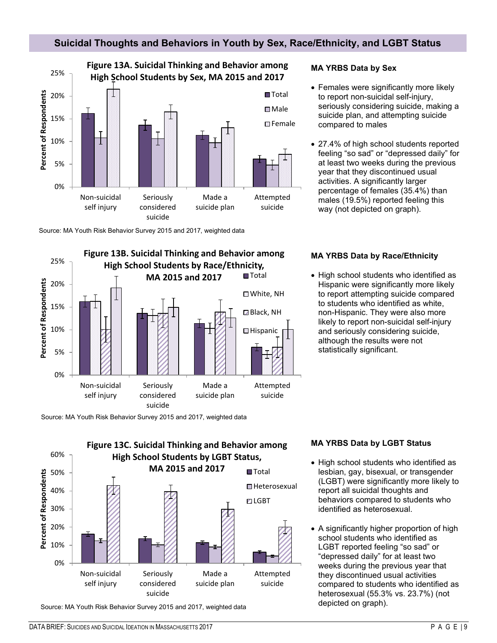## **Suicidal Thoughts and Behaviors in Youth by Sex, Race/Ethnicity, and LGBT Status**



Source: MA Youth Risk Behavior Survey 2015 and 2017, weighted data



Source: MA Youth Risk Behavior Survey 2015 and 2017, weighted data



Source: MA Youth Risk Behavior Survey 2015 and 2017, weighted data

## **MA YRBS Data by Sex**

- Females were significantly more likely to report non-suicidal self-injury, seriously considering suicide, making a suicide plan, and attempting suicide compared to males
- 27.4% of high school students reported feeling "so sad" or "depressed daily" for at least two weeks during the previous year that they discontinued usual activities. A significantly larger percentage of females (35.4%) than males (19.5%) reported feeling this way (not depicted on graph).

#### **MA YRBS Data by Race/Ethnicity**

• High school students who identified as Hispanic were significantly more likely to report attempting suicide compared to students who identified as white, non-Hispanic. They were also more likely to report non-suicidal self-injury and seriously considering suicide, although the results were not statistically significant.

#### **MA YRBS Data by LGBT Status**

- High school students who identified as lesbian, gay, bisexual, or transgender (LGBT) were significantly more likely to report all suicidal thoughts and behaviors compared to students who identified as heterosexual.
- A significantly higher proportion of high school students who identified as LGBT reported feeling "so sad" or "depressed daily" for at least two weeks during the previous year that they discontinued usual activities compared to students who identified as heterosexual (55.3% vs. 23.7%) (not depicted on graph).